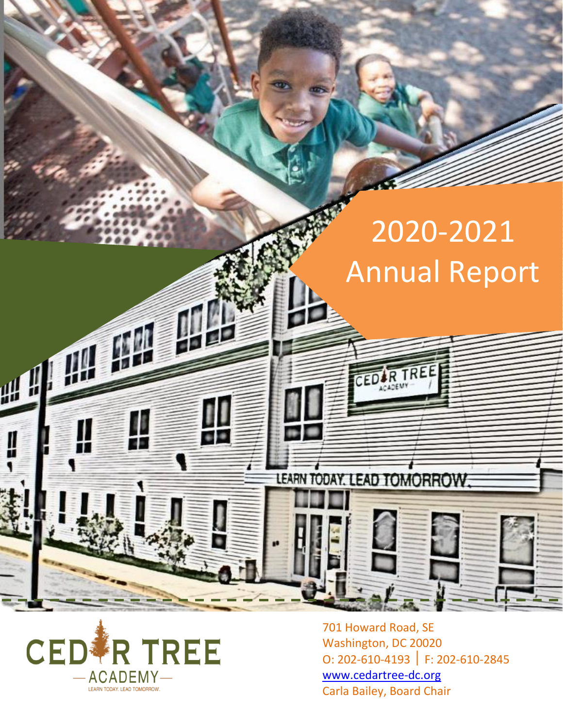# 2020-2021 Annual Report

2019-2020

Annual Report

IR TREE

LEARN TODAY. LEAD TOMORROW



 $4 - 0$ 

701 Howard Road, SE Washington, DC 20020 O: 202-610-4193 F: 202-610-2845 [www.cedartree-dc.org](http://www.cedartree-dc.org/) Carla Bailey, Board Chair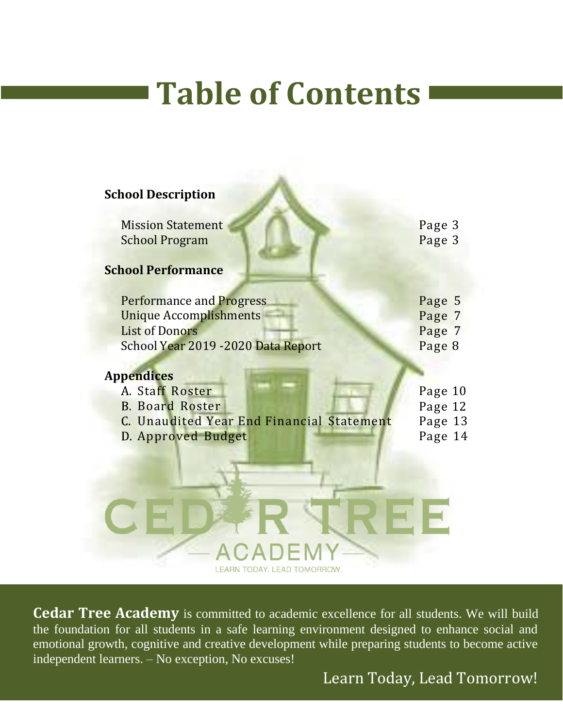# **Table of Contents**

| <b>School Description</b>                                                                                                        |                                      |
|----------------------------------------------------------------------------------------------------------------------------------|--------------------------------------|
| <b>Mission Statement</b>                                                                                                         | Page 3                               |
| <b>School Program</b>                                                                                                            | Page 3                               |
| <b>School Performance</b>                                                                                                        |                                      |
| <b>Performance and Progress</b><br><b>Unique Accomplishments</b><br><b>List of Donors</b><br>School Year 2019 - 2020 Data Report | Page 5<br>Page 7<br>Page 7<br>Page 8 |
| <b>Appendices</b>                                                                                                                |                                      |
| A. Staff Roster<br><b>B. Board Roster</b>                                                                                        | Page 10<br>Page 12                   |
| C. Unaudited Year End Financial Statement                                                                                        | Page 13                              |
| D. Approved Budget<br>EARN TODAY. LEAD TOMORROW                                                                                  | Page 14                              |

**Cedar Tree Academy** is committed to academic excellence for all students. We will build the foundation for all students in a safe learning environment designed to enhance social and emotional growth, cognitive and creative development while preparing students to become active independent learners. – No exception, No excuses!

Learn Today, Lead Tomorrow!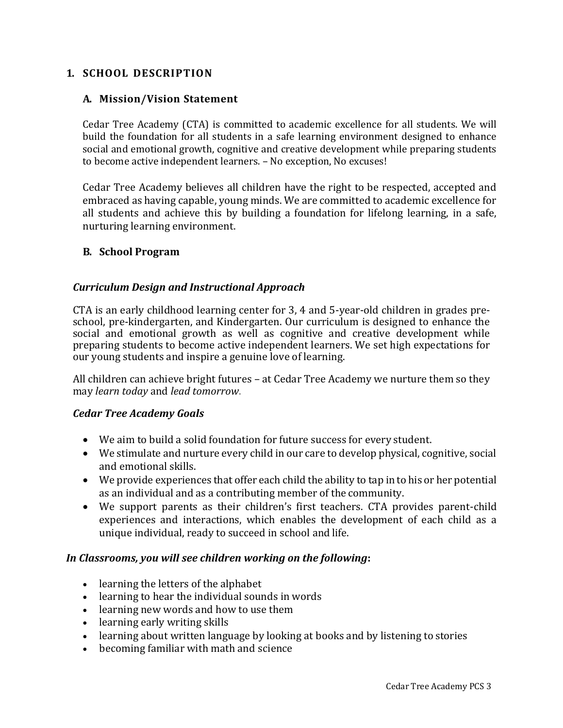#### **1. SCHOOL DESCRIPTION**

#### **A. Mission/Vision Statement**

Cedar Tree Academy (CTA) is committed to academic excellence for all students. We will build the foundation for all students in a safe learning environment designed to enhance social and emotional growth, cognitive and creative development while preparing students to become active independent learners. – No exception, No excuses!

Cedar Tree Academy believes all children have the right to be respected, accepted and embraced as having capable, young minds. We are committed to academic excellence for all students and achieve this by building a foundation for lifelong learning, in a safe, nurturing learning environment.

#### **B. School Program**

#### *Curriculum Design and Instructional Approach*

CTA is an early childhood learning center for 3, 4 and 5-year-old children in grades preschool, pre-kindergarten, and Kindergarten. Our curriculum is designed to enhance the social and emotional growth as well as cognitive and creative development while preparing students to become active independent learners. We set high expectations for our young students and inspire a genuine love of learning.

All children can achieve bright futures – at Cedar Tree Academy we nurture them so they may *learn today* and *lead tomorrow*.

#### *Cedar Tree Academy Goals*

- We aim to build a solid foundation for future success for every student.
- We stimulate and nurture every child in our care to develop physical, cognitive, social and emotional skills.
- We provide experiences that offer each child the ability to tap in to his or her potential as an individual and as a contributing member of the community.
- We support parents as their children's first teachers. CTA provides parent-child experiences and interactions, which enables the development of each child as a unique individual, ready to succeed in school and life.

#### *In Classrooms, you will see children working on the following***:**

- learning the letters of the alphabet
- learning to hear the individual sounds in words
- learning new words and how to use them
- learning [early writing](http://www.healthofchildren.com/knowledge/History_of_writing.html) skills
- learning about written language by looking at books and by listening to stories
- becoming familiar with math and science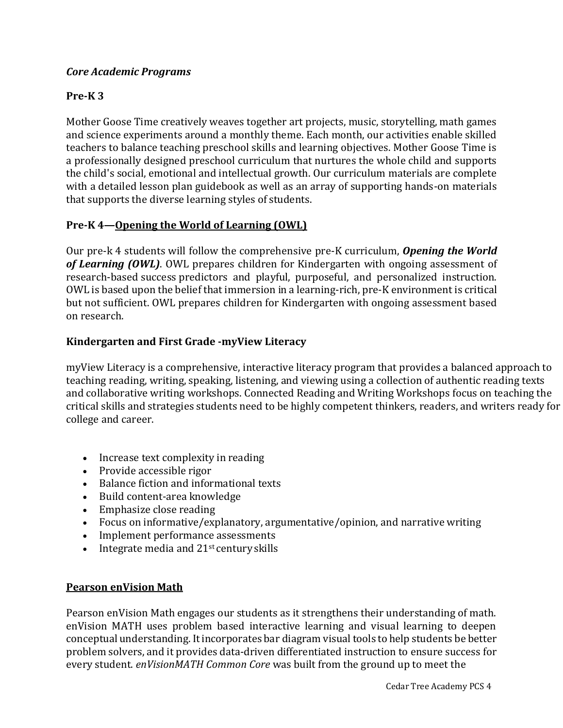#### *Core Academic Programs*

#### **Pre-K 3**

Mother Goose Time creatively weaves together art projects, music, storytelling, math games and science experiments around a monthly theme. Each month, our activities enable skilled teachers to balance teaching preschool skills and learning objectives. Mother Goose Time is a professionally designed preschool curriculum that nurtures the whole child and supports the child's social, emotional and intellectual growth. Our curriculum materials are complete with a detailed lesson plan guidebook as well as an array of supporting hands-on materials that supports the diverse learning styles of students.

#### **Pre-K 4—Opening the World of Learning (OWL)**

Our pre-k 4 students will follow the comprehensive pre-K curriculum, *Opening the World of Learning (OWL)*. OWL prepares children for Kindergarten with ongoing assessment of research-based success predictors and playful, purposeful, and personalized instruction. OWL is based upon the belief that immersion in a learning-rich, pre-K environment is critical but not sufficient. OWL prepares children for Kindergarten with ongoing assessment based on research.

#### **Kindergarten and First Grade -myView Literacy**

myView Literacy is a comprehensive, interactive literacy program that provides a balanced approach to teaching reading, writing, speaking, listening, and viewing using a collection of authentic reading texts and collaborative writing workshops. Connected Reading and Writing Workshops focus on teaching the critical skills and strategies students need to be highly competent thinkers, readers, and writers ready for college and career.

- Increase text complexity in reading
- Provide accessible rigor
- Balance fiction and informational texts
- Build content-area knowledge
- Emphasize close reading
- Focus on informative/explanatory, argumentative/opinion, and narrative writing
- Implement performance assessments
- Integrate media and  $21<sup>st</sup>$  century skills

#### **Pearson enVision Math**

Pearson enVision Math engages our students as it strengthens their understanding of math. enVision MATH uses problem based interactive learning and visual learning to deepen conceptual understanding. Itincorporates bar [diagram](http://www.pearsonschool.com/index.cfm?locator=PSZuQp&PMDBSUBCATEGORYID&PMDBSITEID=2781&PMDBSUBSOLUTIONID&PMDBSOLUTIONID=6724&PMDBSUBJECTAREAID&PMDBCATEGORYID=806&PMDbProgramID=67761) visual tools to help students be better problem solvers, and it provides data-driven [differentiated](http://www.pearsonschool.com/index.cfm?locator=PSZuQp&PMDBSUBCATEGORYID&PMDBSITEID=2781&PMDBSUBSOLUTIONID&PMDBSOLUTIONID=6724&PMDBSUBJECTAREAID&PMDBCATEGORYID=806&PMDbProgramID=67761) instruction to ensure success for every [student.](http://www.pearsonschool.com/index.cfm?locator=PSZuQp&PMDBSUBCATEGORYID&PMDBSITEID=2781&PMDBSUBSOLUTIONID&PMDBSOLUTIONID=6724&PMDBSUBJECTAREAID&PMDBCATEGORYID=806&PMDbProgramID=67761) *enVisionMATH Common Core* was built from the ground up to meet the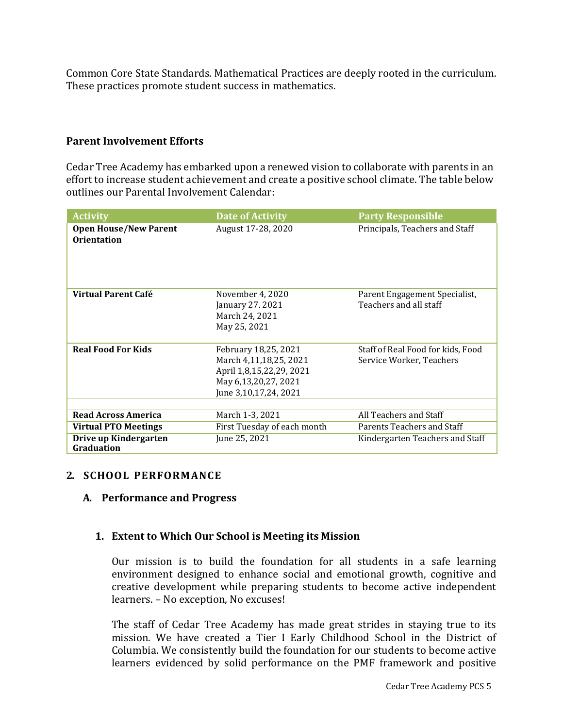Common Core State Standards. Mathematical Practices are deeply rooted in the curriculum. These practices promote student success in mathematics.

#### **Parent Involvement Efforts**

Cedar Tree Academy has embarked upon a renewed vision to collaborate with parents in an effort to increase student achievement and create a positive school climate. The table below outlines our Parental Involvement Calendar:

| <b>Activity</b>                                    | <b>Date of Activity</b>                                                                                                     | <b>Party Responsible</b>                                      |
|----------------------------------------------------|-----------------------------------------------------------------------------------------------------------------------------|---------------------------------------------------------------|
| <b>Open House/New Parent</b><br><b>Orientation</b> | August 17-28, 2020                                                                                                          | Principals, Teachers and Staff                                |
| Virtual Parent Café                                | November 4, 2020<br>January 27. 2021<br>March 24, 2021<br>May 25, 2021                                                      | Parent Engagement Specialist,<br>Teachers and all staff       |
| <b>Real Food For Kids</b>                          | February 18,25, 2021<br>March 4,11,18,25, 2021<br>April 1,8,15,22,29, 2021<br>May 6,13,20,27, 2021<br>June 3,10,17,24, 2021 | Staff of Real Food for kids, Food<br>Service Worker, Teachers |
|                                                    |                                                                                                                             |                                                               |
| <b>Read Across America</b>                         | March 1-3, 2021                                                                                                             | All Teachers and Staff                                        |
| <b>Virtual PTO Meetings</b>                        | First Tuesday of each month                                                                                                 | Parents Teachers and Staff                                    |
| Drive up Kindergarten<br>Graduation                | June 25, 2021                                                                                                               | Kindergarten Teachers and Staff                               |

#### **2. SCHOOL PERFORMANCE**

#### **A. Performance and Progress**

#### **1. Extent to Which Our School is Meeting its Mission**

Our mission is to build the foundation for all students in a safe learning environment designed to enhance social and emotional growth, cognitive and creative development while preparing students to become active independent learners. – No exception, No excuses!

The staff of Cedar Tree Academy has made great strides in staying true to its mission. We have created a Tier I Early Childhood School in the District of Columbia. We consistently build the foundation for our students to become active learners evidenced by solid performance on the PMF framework and positive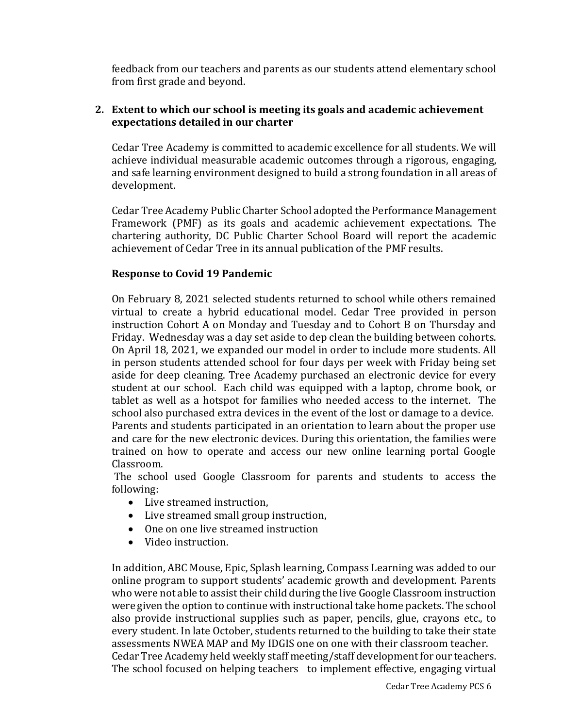feedback from our teachers and parents as our students attend elementary school from first grade and beyond.

#### **2. Extent to which our school is meeting its goals and academic achievement expectations detailed in our charter**

Cedar Tree Academy is committed to academic excellence for all students. We will achieve individual measurable academic outcomes through a rigorous, engaging, and safe learning environment designed to build a strong foundation in all areas of development.

Cedar Tree Academy Public Charter School adopted the Performance Management Framework (PMF) as its goals and academic achievement expectations. The chartering authority, DC Public Charter School Board will report the academic achievement of Cedar Tree in its annual publication of the PMF results.

#### **Response to Covid 19 Pandemic**

On February 8, 2021 selected students returned to school while others remained virtual to create a hybrid educational model. Cedar Tree provided in person instruction Cohort A on Monday and Tuesday and to Cohort B on Thursday and Friday. Wednesday was a day set aside to dep clean the building between cohorts. On April 18, 2021, we expanded our model in order to include more students. All in person students attended school for four days per week with Friday being set aside for deep cleaning. Tree Academy purchased an electronic device for every student at our school. Each child was equipped with a laptop, chrome book, or tablet as well as a hotspot for families who needed access to the internet. The school also purchased extra devices in the event of the lost or damage to a device. Parents and students participated in an orientation to learn about the proper use and care for the new electronic devices. During this orientation, the families were trained on how to operate and access our new online learning portal Google Classroom.

The school used Google Classroom for parents and students to access the following:

- Live streamed instruction,
- Live streamed small group instruction,
- One on one live streamed instruction
- Video instruction.

In addition, ABC Mouse, Epic, Splash learning, Compass Learning was added to our online program to support students' academic growth and development. Parents who were not able to assist their child during the live Google Classroom instruction were given the option to continue with instructional take home packets. The school also provide instructional supplies such as paper, pencils, glue, crayons etc., to every student. In late October, students returned to the building to take their state assessments NWEA MAP and My IDGIS one on one with their classroom teacher. Cedar Tree Academy held weekly staff meeting/staff development for our teachers. The school focused on helping teachers to implement effective, engaging virtual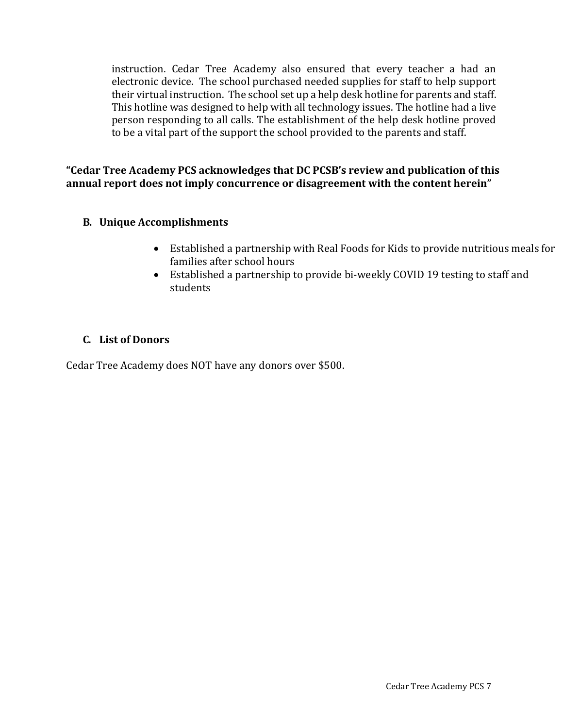instruction. Cedar Tree Academy also ensured that every teacher a had an electronic device. The school purchased needed supplies for staff to help support their virtual instruction. The school set up a help desk hotline for parents and staff. This hotline was designed to help with all technology issues. The hotline had a live person responding to all calls. The establishment of the help desk hotline proved to be a vital part of the support the school provided to the parents and staff.

**"Cedar Tree Academy PCS acknowledges that DC PCSB's review and publication of this annual report does not imply concurrence or disagreement with the content herein"**

#### **B. Unique Accomplishments**

- Established a partnership with Real Foods for Kids to provide nutritious meals for families after school hours
- Established a partnership to provide bi-weekly COVID 19 testing to staff and students

#### **C. List of Donors**

Cedar Tree Academy does NOT have any donors over \$500.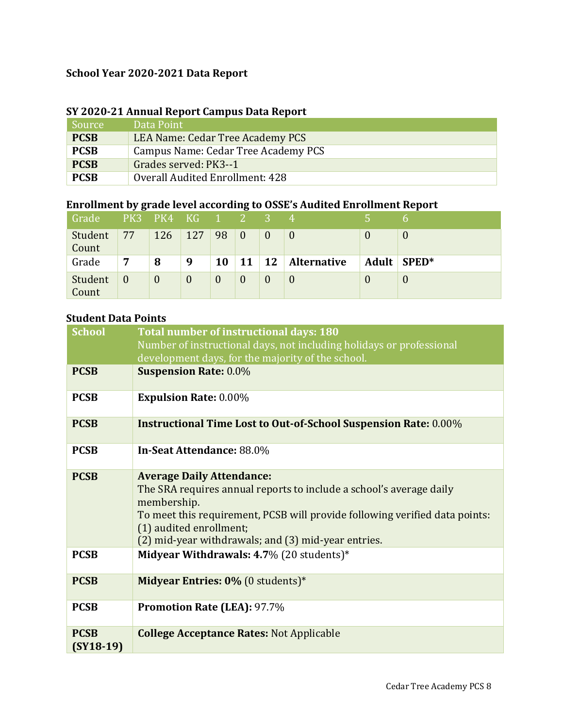### **School Year 2020-2021 Data Report**

| SY 2020-21 Annual Report Campus Data Report |                                     |  |  |  |
|---------------------------------------------|-------------------------------------|--|--|--|
| Source                                      | Data Point                          |  |  |  |
| <b>PCSB</b>                                 | LEA Name: Cedar Tree Academy PCS    |  |  |  |
| <b>PCSB</b>                                 | Campus Name: Cedar Tree Academy PCS |  |  |  |
| <b>PCSB</b>                                 | Grades served: PK3--1               |  |  |  |
| <b>PCSB</b>                                 | Overall Audited Enrollment: 428     |  |  |  |

#### **SY 2020-21 Annual Report Campus Data Report**

# **Enrollment by grade level according to OSSE's Audited Enrollment Report**

| Grade            |                | PK3 PK4 KG 1 2 3 |          |           |                  |    |                    |       | h        |
|------------------|----------------|------------------|----------|-----------|------------------|----|--------------------|-------|----------|
| Student<br>Count | 77             | 126              | 127      | 98        | $\overline{0}$   |    |                    |       | $\bf{0}$ |
| Grade            | 7              | 8                | 9        | <b>10</b> | 11               | 12 | <b>Alternative</b> | Adult | $SPED*$  |
| Student<br>Count | $\overline{0}$ | $\mathbf{0}$     | $\theta$ | $\theta$  | $\boldsymbol{0}$ |    |                    |       | $\bf{0}$ |

#### **Student Data Points**

| <b>School</b>              | Total number of instructional days: 180<br>Number of instructional days, not including holidays or professional<br>development days, for the majority of the school.                                                                                                                    |
|----------------------------|-----------------------------------------------------------------------------------------------------------------------------------------------------------------------------------------------------------------------------------------------------------------------------------------|
| <b>PCSB</b>                | <b>Suspension Rate: 0.0%</b>                                                                                                                                                                                                                                                            |
| <b>PCSB</b>                | <b>Expulsion Rate: 0.00%</b>                                                                                                                                                                                                                                                            |
| <b>PCSB</b>                | <b>Instructional Time Lost to Out-of-School Suspension Rate: 0.00%</b>                                                                                                                                                                                                                  |
| <b>PCSB</b>                | In-Seat Attendance: 88.0%                                                                                                                                                                                                                                                               |
| <b>PCSB</b>                | <b>Average Daily Attendance:</b><br>The SRA requires annual reports to include a school's average daily<br>membership.<br>To meet this requirement, PCSB will provide following verified data points:<br>(1) audited enrollment;<br>(2) mid-year withdrawals; and (3) mid-year entries. |
| <b>PCSB</b>                | Midyear Withdrawals: 4.7% (20 students)*                                                                                                                                                                                                                                                |
| <b>PCSB</b>                | <b>Midyear Entries: 0% (0 students)*</b>                                                                                                                                                                                                                                                |
| <b>PCSB</b>                | <b>Promotion Rate (LEA): 97.7%</b>                                                                                                                                                                                                                                                      |
| <b>PCSB</b><br>$(SY18-19)$ | <b>College Acceptance Rates: Not Applicable</b>                                                                                                                                                                                                                                         |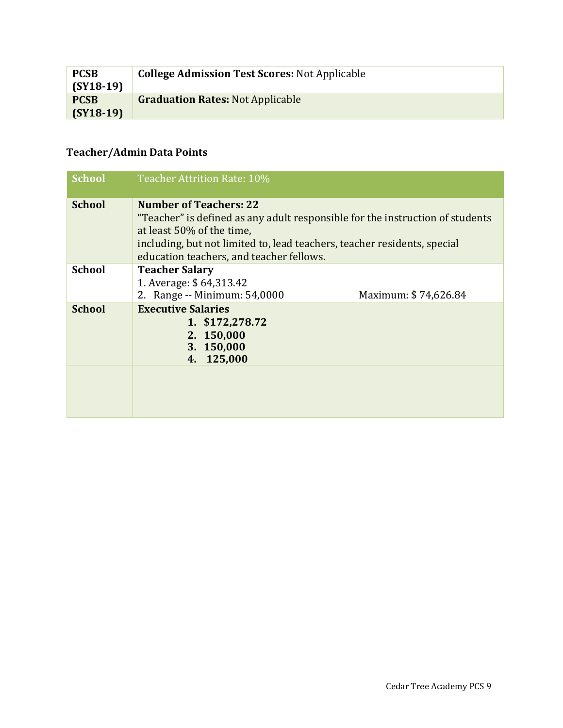| <b>PCSB</b><br>$(SY18-19)$ | <b>College Admission Test Scores: Not Applicable</b> |
|----------------------------|------------------------------------------------------|
| <b>PCSB</b><br>$(SY18-19)$ | <b>Graduation Rates: Not Applicable</b>              |

# **Teacher/Admin Data Points**

| <b>School</b> | Teacher Attrition Rate: 10%                                                                                                                                                                                                                                         |
|---------------|---------------------------------------------------------------------------------------------------------------------------------------------------------------------------------------------------------------------------------------------------------------------|
| <b>School</b> | <b>Number of Teachers: 22</b><br>"Teacher" is defined as any adult responsible for the instruction of students<br>at least 50% of the time,<br>including, but not limited to, lead teachers, teacher residents, special<br>education teachers, and teacher fellows. |
| <b>School</b> | <b>Teacher Salary</b><br>1. Average: \$64,313.42<br>2. Range -- Minimum: 54,0000<br>Maximum: \$74,626.84                                                                                                                                                            |
| <b>School</b> | <b>Executive Salaries</b><br>1. \$172,278.72<br>2. 150,000<br>3. 150,000<br>4. 125,000                                                                                                                                                                              |
|               |                                                                                                                                                                                                                                                                     |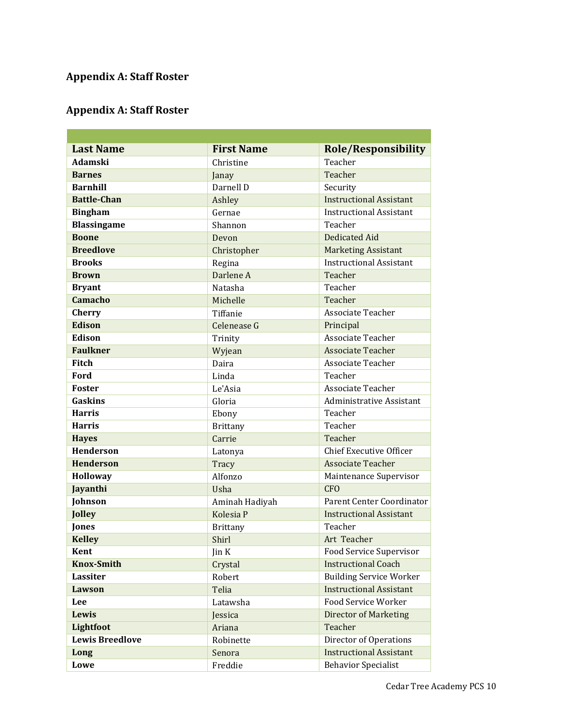#### **Appendix A: Staff Roster**

# **Appendix A: Staff Roster**

| <b>Last Name</b>       | <b>First Name</b> | <b>Role/Responsibility</b>      |  |
|------------------------|-------------------|---------------------------------|--|
| Adamski                | Christine         | Teacher                         |  |
| <b>Barnes</b>          | Janay             | Teacher                         |  |
| <b>Barnhill</b>        | Darnell D         | Security                        |  |
| <b>Battle-Chan</b>     | Ashley            | <b>Instructional Assistant</b>  |  |
| <b>Bingham</b>         | Gernae            | <b>Instructional Assistant</b>  |  |
| <b>Blassingame</b>     | Shannon           | Teacher                         |  |
| <b>Boone</b>           | Devon             | <b>Dedicated Aid</b>            |  |
| <b>Breedlove</b>       | Christopher       | <b>Marketing Assistant</b>      |  |
| <b>Brooks</b>          | Regina            | <b>Instructional Assistant</b>  |  |
| <b>Brown</b>           | Darlene A         | Teacher                         |  |
| <b>Bryant</b>          | Natasha           | Teacher                         |  |
| <b>Camacho</b>         | Michelle          | Teacher                         |  |
| <b>Cherry</b>          | Tiffanie          | Associate Teacher               |  |
| <b>Edison</b>          | Celenease G       | Principal                       |  |
| Edison                 | Trinity           | Associate Teacher               |  |
| <b>Faulkner</b>        | Wyjean            | <b>Associate Teacher</b>        |  |
| Fitch                  | Daira             | <b>Associate Teacher</b>        |  |
| Ford                   | Linda             | Teacher                         |  |
| <b>Foster</b>          | Le'Asia           | Associate Teacher               |  |
| Gaskins                | Gloria            | <b>Administrative Assistant</b> |  |
| <b>Harris</b>          | Ebony             | Teacher                         |  |
| <b>Harris</b>          | <b>Brittany</b>   | Teacher                         |  |
| <b>Hayes</b>           | Carrie            | Teacher                         |  |
| <b>Henderson</b>       | Latonya           | <b>Chief Executive Officer</b>  |  |
| <b>Henderson</b>       | Tracy             | <b>Associate Teacher</b>        |  |
| Holloway               | Alfonzo           | Maintenance Supervisor          |  |
| Jayanthi               | Usha              | <b>CFO</b>                      |  |
| Johnson                | Aminah Hadiyah    | Parent Center Coordinator       |  |
| Jolley                 | Kolesia P         | <b>Instructional Assistant</b>  |  |
| Jones                  | <b>Brittany</b>   | Teacher                         |  |
| <b>Kelley</b>          | Shirl             | Art Teacher                     |  |
| Kent                   | Jin K             | Food Service Supervisor         |  |
| <b>Knox-Smith</b>      | Crystal           | <b>Instructional Coach</b>      |  |
| Lassiter               | Robert            | <b>Building Service Worker</b>  |  |
| Lawson                 | Telia             | <b>Instructional Assistant</b>  |  |
| Lee                    | Latawsha          | Food Service Worker             |  |
| Lewis                  | Jessica           | <b>Director of Marketing</b>    |  |
| Lightfoot              | Ariana            | Teacher                         |  |
| <b>Lewis Breedlove</b> | Robinette         | Director of Operations          |  |
| Long                   | Senora            | <b>Instructional Assistant</b>  |  |
| Lowe                   | Freddie           | <b>Behavior Specialist</b>      |  |

a sa kacamatan ing Kabupatèn Kabupatèn Kabupatèn Kabupatèn Kabupatèn Kabupatèn Kabupatèn Kabupatèn Kabupatèn K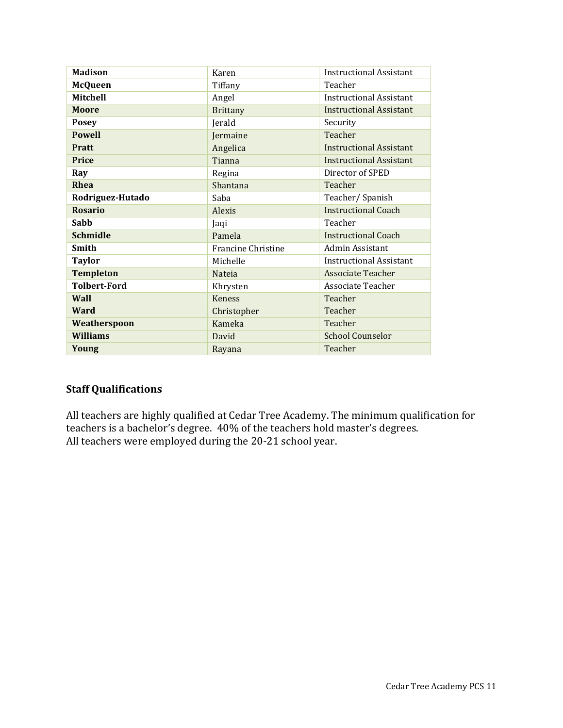| <b>Madison</b>      | Karen                     | Instructional Assistant        |  |
|---------------------|---------------------------|--------------------------------|--|
| <b>McQueen</b>      | Tiffany                   | Teacher                        |  |
| Mitchell            | Angel                     | <b>Instructional Assistant</b> |  |
| <b>Moore</b>        | <b>Brittany</b>           | <b>Instructional Assistant</b> |  |
| <b>Posey</b>        | Jerald                    | Security                       |  |
| <b>Powell</b>       | Jermaine                  | Teacher                        |  |
| <b>Pratt</b>        | Angelica                  | <b>Instructional Assistant</b> |  |
| <b>Price</b>        | Tianna                    | <b>Instructional Assistant</b> |  |
| Ray                 | Regina                    | Director of SPED               |  |
| Rhea                | Shantana                  | Teacher                        |  |
| Rodriguez-Hutado    | Saba                      | Teacher/Spanish                |  |
| <b>Rosario</b>      | Alexis                    | <b>Instructional Coach</b>     |  |
| Sabb                | Jaqi                      | Teacher                        |  |
| <b>Schmidle</b>     | Pamela                    | Instructional Coach            |  |
| <b>Smith</b>        | <b>Francine Christine</b> | Admin Assistant                |  |
| <b>Taylor</b>       | Michelle                  | <b>Instructional Assistant</b> |  |
| <b>Templeton</b>    | <b>Nateja</b>             | <b>Associate Teacher</b>       |  |
| <b>Tolbert-Ford</b> | Khrysten                  | Associate Teacher              |  |
| Wall                | Keness                    | Teacher                        |  |
| Ward                | Christopher               | Teacher                        |  |
| Weatherspoon        | Kameka                    | Teacher                        |  |
| <b>Williams</b>     | David                     | <b>School Counselor</b>        |  |
| Young               | Rayana                    | Teacher                        |  |

#### **Staff Qualifications**

All teachers are highly qualified at Cedar Tree Academy. The minimum qualification for teachers is a bachelor's degree. 40% of the teachers hold master's degrees. All teachers were employed during the 20-21 school year.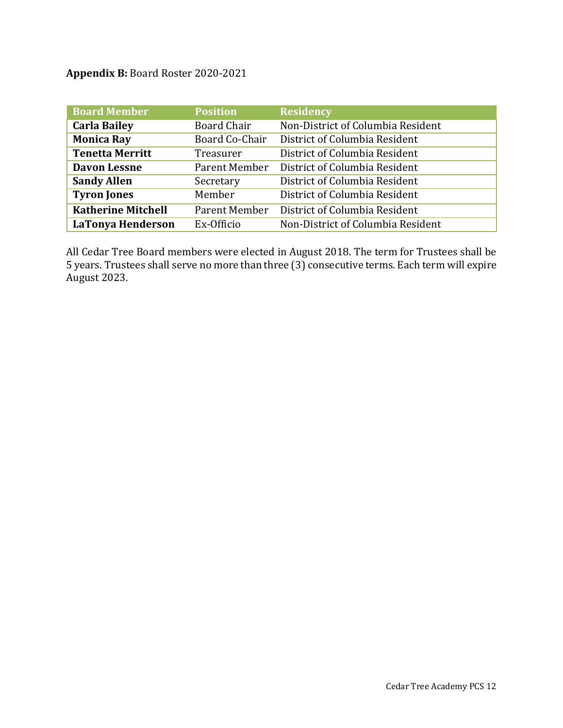**Appendix B:** Board Roster 2020-2021

| <b>Board Member</b>       | <b>Position</b> | <b>Residency</b>                  |
|---------------------------|-----------------|-----------------------------------|
| <b>Carla Bailey</b>       | Board Chair     | Non-District of Columbia Resident |
| <b>Monica Ray</b>         | Board Co-Chair  | District of Columbia Resident     |
| <b>Tenetta Merritt</b>    | Treasurer       | District of Columbia Resident     |
| <b>Davon Lessne</b>       | Parent Member   | District of Columbia Resident     |
| <b>Sandy Allen</b>        | Secretary       | District of Columbia Resident     |
| <b>Tyron Jones</b>        | Member          | District of Columbia Resident     |
| <b>Katherine Mitchell</b> | Parent Member   | District of Columbia Resident     |
| <b>LaTonya Henderson</b>  | Ex-Officio      | Non-District of Columbia Resident |

All Cedar Tree Board members were elected in August 2018. The term for Trustees shall be 5 years. Trustees shall serve no more than three (3) consecutive terms. Each term will expire August 2023.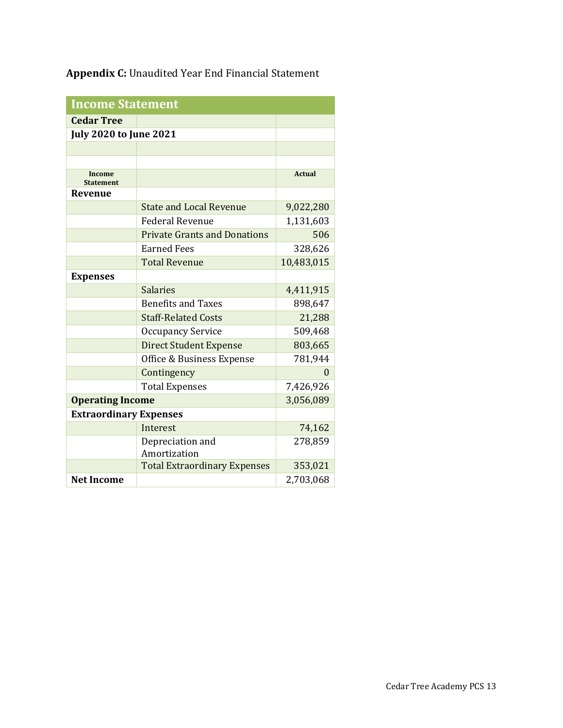**Appendix C:** Unaudited Year End Financial Statement

| <b>Income Statement</b>       |                                     |               |  |  |
|-------------------------------|-------------------------------------|---------------|--|--|
| <b>Cedar Tree</b>             |                                     |               |  |  |
| <b>July 2020 to June 2021</b> |                                     |               |  |  |
|                               |                                     |               |  |  |
|                               |                                     |               |  |  |
| Income<br><b>Statement</b>    |                                     | <b>Actual</b> |  |  |
| Revenue                       |                                     |               |  |  |
|                               | <b>State and Local Revenue</b>      | 9,022,280     |  |  |
|                               | <b>Federal Revenue</b>              | 1,131,603     |  |  |
|                               | <b>Private Grants and Donations</b> | 506           |  |  |
|                               | <b>Earned Fees</b>                  | 328,626       |  |  |
|                               | <b>Total Revenue</b>                | 10,483,015    |  |  |
| <b>Expenses</b>               |                                     |               |  |  |
|                               | <b>Salaries</b>                     | 4,411,915     |  |  |
|                               | <b>Benefits and Taxes</b>           | 898,647       |  |  |
|                               | <b>Staff-Related Costs</b>          | 21,288        |  |  |
|                               | <b>Occupancy Service</b>            | 509,468       |  |  |
|                               | <b>Direct Student Expense</b>       | 803,665       |  |  |
|                               | Office & Business Expense           | 781,944       |  |  |
|                               | Contingency                         | 0             |  |  |
|                               | <b>Total Expenses</b>               | 7,426,926     |  |  |
| <b>Operating Income</b>       |                                     | 3,056,089     |  |  |
| <b>Extraordinary Expenses</b> |                                     |               |  |  |
|                               | Interest                            | 74,162        |  |  |
|                               | Depreciation and<br>Amortization    | 278,859       |  |  |
|                               | <b>Total Extraordinary Expenses</b> | 353,021       |  |  |
| <b>Net Income</b>             |                                     | 2,703,068     |  |  |